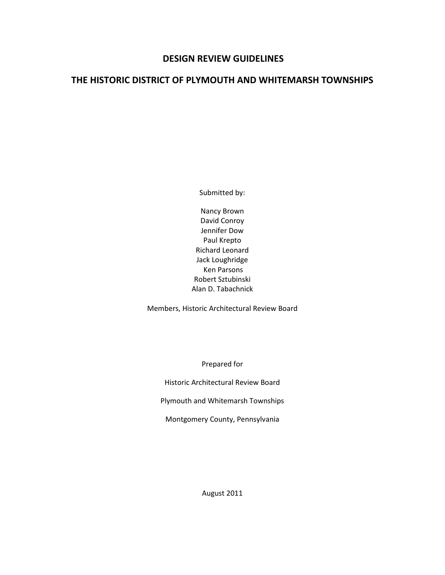# DESIGN REVIEW GUIDELINES

# THE HISTORIC DISTRICT OF PLYMOUTH AND WHITEMARSH TOWNSHIPS

Submitted by:

Nancy Brown David Conroy Jennifer Dow Paul Krepto Richard Leonard Jack Loughridge Ken Parsons Robert Sztubinski Alan D. Tabachnick

Members, Historic Architectural Review Board

Prepared for

Historic Architectural Review Board

Plymouth and Whitemarsh Townships

Montgomery County, Pennsylvania

August 2011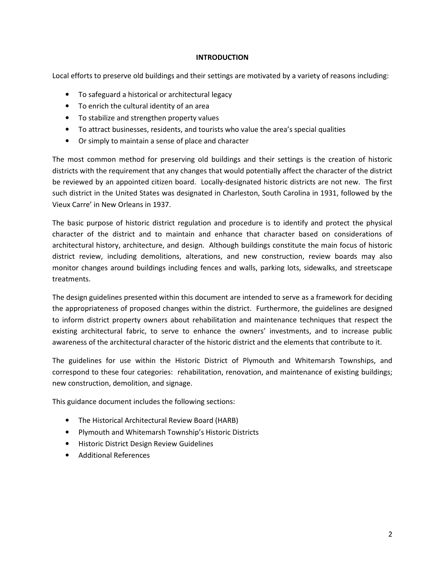# INTRODUCTION

Local efforts to preserve old buildings and their settings are motivated by a variety of reasons including:

- To safeguard a historical or architectural legacy
- To enrich the cultural identity of an area
- To stabilize and strengthen property values
- To attract businesses, residents, and tourists who value the area's special qualities
- Or simply to maintain a sense of place and character

The most common method for preserving old buildings and their settings is the creation of historic districts with the requirement that any changes that would potentially affect the character of the district be reviewed by an appointed citizen board. Locally-designated historic districts are not new. The first such district in the United States was designated in Charleston, South Carolina in 1931, followed by the Vieux Carre' in New Orleans in 1937.

The basic purpose of historic district regulation and procedure is to identify and protect the physical character of the district and to maintain and enhance that character based on considerations of architectural history, architecture, and design. Although buildings constitute the main focus of historic district review, including demolitions, alterations, and new construction, review boards may also monitor changes around buildings including fences and walls, parking lots, sidewalks, and streetscape treatments.

The design guidelines presented within this document are intended to serve as a framework for deciding the appropriateness of proposed changes within the district. Furthermore, the guidelines are designed to inform district property owners about rehabilitation and maintenance techniques that respect the existing architectural fabric, to serve to enhance the owners' investments, and to increase public awareness of the architectural character of the historic district and the elements that contribute to it.

The guidelines for use within the Historic District of Plymouth and Whitemarsh Townships, and correspond to these four categories: rehabilitation, renovation, and maintenance of existing buildings; new construction, demolition, and signage.

This guidance document includes the following sections:

- The Historical Architectural Review Board (HARB)
- Plymouth and Whitemarsh Township's Historic Districts
- Historic District Design Review Guidelines
- Additional References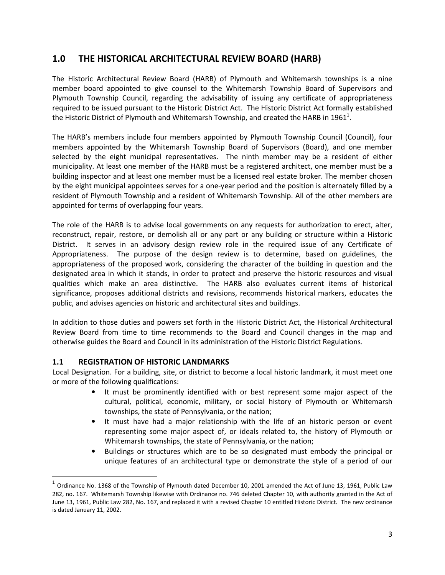# 1.0 THE HISTORICAL ARCHITECTURAL REVIEW BOARD (HARB)

The Historic Architectural Review Board (HARB) of Plymouth and Whitemarsh townships is a nine member board appointed to give counsel to the Whitemarsh Township Board of Supervisors and Plymouth Township Council, regarding the advisability of issuing any certificate of appropriateness required to be issued pursuant to the Historic District Act. The Historic District Act formally established the Historic District of Plymouth and Whitemarsh Township, and created the HARB in 1961<sup>1</sup>.

The HARB's members include four members appointed by Plymouth Township Council (Council), four members appointed by the Whitemarsh Township Board of Supervisors (Board), and one member selected by the eight municipal representatives. The ninth member may be a resident of either municipality. At least one member of the HARB must be a registered architect, one member must be a building inspector and at least one member must be a licensed real estate broker. The member chosen by the eight municipal appointees serves for a one-year period and the position is alternately filled by a resident of Plymouth Township and a resident of Whitemarsh Township. All of the other members are appointed for terms of overlapping four years.

The role of the HARB is to advise local governments on any requests for authorization to erect, alter, reconstruct, repair, restore, or demolish all or any part or any building or structure within a Historic District. It serves in an advisory design review role in the required issue of any Certificate of Appropriateness. The purpose of the design review is to determine, based on guidelines, the appropriateness of the proposed work, considering the character of the building in question and the designated area in which it stands, in order to protect and preserve the historic resources and visual qualities which make an area distinctive. The HARB also evaluates current items of historical significance, proposes additional districts and revisions, recommends historical markers, educates the public, and advises agencies on historic and architectural sites and buildings.

In addition to those duties and powers set forth in the Historic District Act, the Historical Architectural Review Board from time to time recommends to the Board and Council changes in the map and otherwise guides the Board and Council in its administration of the Historic District Regulations.

# 1.1 REGISTRATION OF HISTORIC LANDMARKS

 $\overline{a}$ 

Local Designation. For a building, site, or district to become a local historic landmark, it must meet one or more of the following qualifications:

- It must be prominently identified with or best represent some major aspect of the cultural, political, economic, military, or social history of Plymouth or Whitemarsh townships, the state of Pennsylvania, or the nation;
- It must have had a major relationship with the life of an historic person or event representing some major aspect of, or ideals related to, the history of Plymouth or Whitemarsh townships, the state of Pennsylvania, or the nation;
- Buildings or structures which are to be so designated must embody the principal or unique features of an architectural type or demonstrate the style of a period of our

 $^1$  Ordinance No. 1368 of the Township of Plymouth dated December 10, 2001 amended the Act of June 13, 1961, Public Law 282, no. 167. Whitemarsh Township likewise with Ordinance no. 746 deleted Chapter 10, with authority granted in the Act of June 13, 1961, Public Law 282, No. 167, and replaced it with a revised Chapter 10 entitled Historic District. The new ordinance is dated January 11, 2002.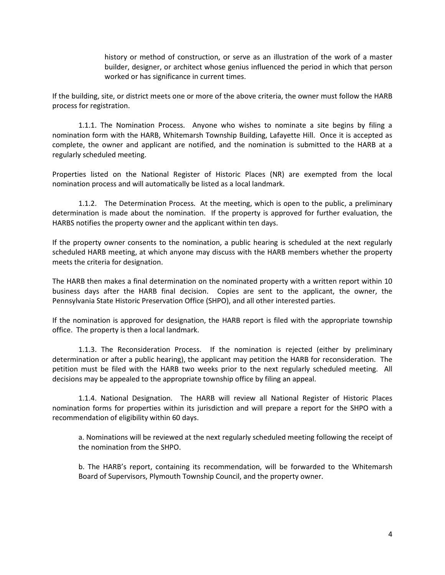history or method of construction, or serve as an illustration of the work of a master builder, designer, or architect whose genius influenced the period in which that person worked or has significance in current times.

If the building, site, or district meets one or more of the above criteria, the owner must follow the HARB process for registration.

 1.1.1. The Nomination Process. Anyone who wishes to nominate a site begins by filing a nomination form with the HARB, Whitemarsh Township Building, Lafayette Hill. Once it is accepted as complete, the owner and applicant are notified, and the nomination is submitted to the HARB at a regularly scheduled meeting.

Properties listed on the National Register of Historic Places (NR) are exempted from the local nomination process and will automatically be listed as a local landmark.

 1.1.2. The Determination Process. At the meeting, which is open to the public, a preliminary determination is made about the nomination. If the property is approved for further evaluation, the HARBS notifies the property owner and the applicant within ten days.

If the property owner consents to the nomination, a public hearing is scheduled at the next regularly scheduled HARB meeting, at which anyone may discuss with the HARB members whether the property meets the criteria for designation.

The HARB then makes a final determination on the nominated property with a written report within 10 business days after the HARB final decision. Copies are sent to the applicant, the owner, the Pennsylvania State Historic Preservation Office (SHPO), and all other interested parties.

If the nomination is approved for designation, the HARB report is filed with the appropriate township office. The property is then a local landmark.

 1.1.3. The Reconsideration Process. If the nomination is rejected (either by preliminary determination or after a public hearing), the applicant may petition the HARB for reconsideration. The petition must be filed with the HARB two weeks prior to the next regularly scheduled meeting. All decisions may be appealed to the appropriate township office by filing an appeal.

 1.1.4. National Designation. The HARB will review all National Register of Historic Places nomination forms for properties within its jurisdiction and will prepare a report for the SHPO with a recommendation of eligibility within 60 days.

 a. Nominations will be reviewed at the next regularly scheduled meeting following the receipt of the nomination from the SHPO.

 b. The HARB's report, containing its recommendation, will be forwarded to the Whitemarsh Board of Supervisors, Plymouth Township Council, and the property owner.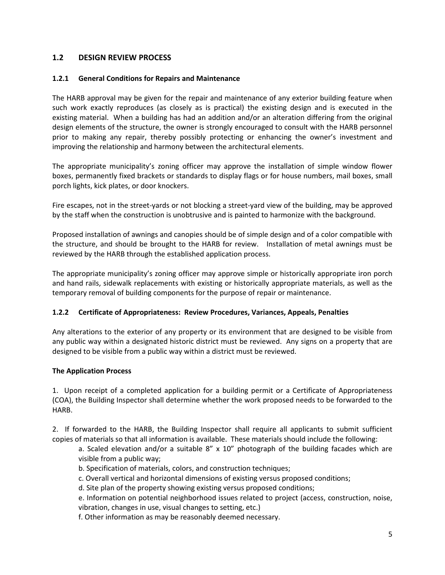# 1.2 DESIGN REVIEW PROCESS

# 1.2.1 General Conditions for Repairs and Maintenance

The HARB approval may be given for the repair and maintenance of any exterior building feature when such work exactly reproduces (as closely as is practical) the existing design and is executed in the existing material. When a building has had an addition and/or an alteration differing from the original design elements of the structure, the owner is strongly encouraged to consult with the HARB personnel prior to making any repair, thereby possibly protecting or enhancing the owner's investment and improving the relationship and harmony between the architectural elements.

The appropriate municipality's zoning officer may approve the installation of simple window flower boxes, permanently fixed brackets or standards to display flags or for house numbers, mail boxes, small porch lights, kick plates, or door knockers.

Fire escapes, not in the street-yards or not blocking a street-yard view of the building, may be approved by the staff when the construction is unobtrusive and is painted to harmonize with the background.

Proposed installation of awnings and canopies should be of simple design and of a color compatible with the structure, and should be brought to the HARB for review. Installation of metal awnings must be reviewed by the HARB through the established application process.

The appropriate municipality's zoning officer may approve simple or historically appropriate iron porch and hand rails, sidewalk replacements with existing or historically appropriate materials, as well as the temporary removal of building components for the purpose of repair or maintenance.

# 1.2.2 Certificate of Appropriateness: Review Procedures, Variances, Appeals, Penalties

Any alterations to the exterior of any property or its environment that are designed to be visible from any public way within a designated historic district must be reviewed. Any signs on a property that are designed to be visible from a public way within a district must be reviewed.

# The Application Process

1. Upon receipt of a completed application for a building permit or a Certificate of Appropriateness (COA), the Building Inspector shall determine whether the work proposed needs to be forwarded to the HARB.

2. If forwarded to the HARB, the Building Inspector shall require all applicants to submit sufficient copies of materials so that all information is available. These materials should include the following:

a. Scaled elevation and/or a suitable  $8''$  x 10" photograph of the building facades which are visible from a public way;

- b. Specification of materials, colors, and construction techniques;
- c. Overall vertical and horizontal dimensions of existing versus proposed conditions;
- d. Site plan of the property showing existing versus proposed conditions;

 e. Information on potential neighborhood issues related to project (access, construction, noise, vibration, changes in use, visual changes to setting, etc.)

f. Other information as may be reasonably deemed necessary.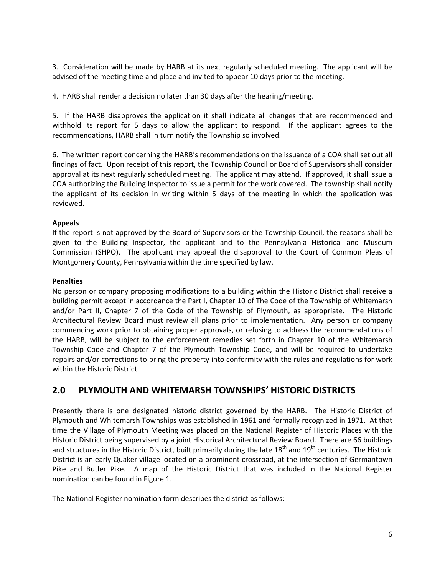3. Consideration will be made by HARB at its next regularly scheduled meeting. The applicant will be advised of the meeting time and place and invited to appear 10 days prior to the meeting.

4. HARB shall render a decision no later than 30 days after the hearing/meeting.

5. If the HARB disapproves the application it shall indicate all changes that are recommended and withhold its report for 5 days to allow the applicant to respond. If the applicant agrees to the recommendations, HARB shall in turn notify the Township so involved.

6. The written report concerning the HARB's recommendations on the issuance of a COA shall set out all findings of fact. Upon receipt of this report, the Township Council or Board of Supervisors shall consider approval at its next regularly scheduled meeting. The applicant may attend. If approved, it shall issue a COA authorizing the Building Inspector to issue a permit for the work covered. The township shall notify the applicant of its decision in writing within 5 days of the meeting in which the application was reviewed.

# Appeals

If the report is not approved by the Board of Supervisors or the Township Council, the reasons shall be given to the Building Inspector, the applicant and to the Pennsylvania Historical and Museum Commission (SHPO). The applicant may appeal the disapproval to the Court of Common Pleas of Montgomery County, Pennsylvania within the time specified by law.

#### Penalties

No person or company proposing modifications to a building within the Historic District shall receive a building permit except in accordance the Part I, Chapter 10 of The Code of the Township of Whitemarsh and/or Part II, Chapter 7 of the Code of the Township of Plymouth, as appropriate. The Historic Architectural Review Board must review all plans prior to implementation. Any person or company commencing work prior to obtaining proper approvals, or refusing to address the recommendations of the HARB, will be subject to the enforcement remedies set forth in Chapter 10 of the Whitemarsh Township Code and Chapter 7 of the Plymouth Township Code, and will be required to undertake repairs and/or corrections to bring the property into conformity with the rules and regulations for work within the Historic District.

# 2.0 PLYMOUTH AND WHITEMARSH TOWNSHIPS' HISTORIC DISTRICTS

Presently there is one designated historic district governed by the HARB. The Historic District of Plymouth and Whitemarsh Townships was established in 1961 and formally recognized in 1971. At that time the Village of Plymouth Meeting was placed on the National Register of Historic Places with the Historic District being supervised by a joint Historical Architectural Review Board. There are 66 buildings and structures in the Historic District, built primarily during the late  $18<sup>th</sup>$  and  $19<sup>th</sup>$  centuries. The Historic District is an early Quaker village located on a prominent crossroad, at the intersection of Germantown Pike and Butler Pike. A map of the Historic District that was included in the National Register nomination can be found in Figure 1.

The National Register nomination form describes the district as follows: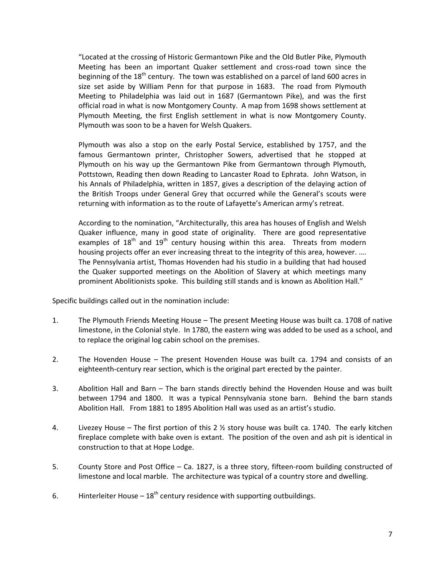"Located at the crossing of Historic Germantown Pike and the Old Butler Pike, Plymouth Meeting has been an important Quaker settlement and cross-road town since the beginning of the  $18<sup>th</sup>$  century. The town was established on a parcel of land 600 acres in size set aside by William Penn for that purpose in 1683. The road from Plymouth Meeting to Philadelphia was laid out in 1687 (Germantown Pike), and was the first official road in what is now Montgomery County. A map from 1698 shows settlement at Plymouth Meeting, the first English settlement in what is now Montgomery County. Plymouth was soon to be a haven for Welsh Quakers.

Plymouth was also a stop on the early Postal Service, established by 1757, and the famous Germantown printer, Christopher Sowers, advertised that he stopped at Plymouth on his way up the Germantown Pike from Germantown through Plymouth, Pottstown, Reading then down Reading to Lancaster Road to Ephrata. John Watson, in his Annals of Philadelphia, written in 1857, gives a description of the delaying action of the British Troops under General Grey that occurred while the General's scouts were returning with information as to the route of Lafayette's American army's retreat.

According to the nomination, "Architecturally, this area has houses of English and Welsh Quaker influence, many in good state of originality. There are good representative examples of  $18<sup>th</sup>$  and  $19<sup>th</sup>$  century housing within this area. Threats from modern housing projects offer an ever increasing threat to the integrity of this area, however. …. The Pennsylvania artist, Thomas Hovenden had his studio in a building that had housed the Quaker supported meetings on the Abolition of Slavery at which meetings many prominent Abolitionists spoke. This building still stands and is known as Abolition Hall."

Specific buildings called out in the nomination include:

- 1. The Plymouth Friends Meeting House The present Meeting House was built ca. 1708 of native limestone, in the Colonial style. In 1780, the eastern wing was added to be used as a school, and to replace the original log cabin school on the premises.
- 2. The Hovenden House The present Hovenden House was built ca. 1794 and consists of an eighteenth-century rear section, which is the original part erected by the painter.
- 3. Abolition Hall and Barn The barn stands directly behind the Hovenden House and was built between 1794 and 1800. It was a typical Pennsylvania stone barn. Behind the barn stands Abolition Hall. From 1881 to 1895 Abolition Hall was used as an artist's studio.
- 4. Livezey House The first portion of this 2  $\frac{1}{2}$  story house was built ca. 1740. The early kitchen fireplace complete with bake oven is extant. The position of the oven and ash pit is identical in construction to that at Hope Lodge.
- 5. County Store and Post Office Ca. 1827, is a three story, fifteen-room building constructed of limestone and local marble. The architecture was typical of a country store and dwelling.
- 6. Hinterleiter House  $18^{th}$  century residence with supporting outbuildings.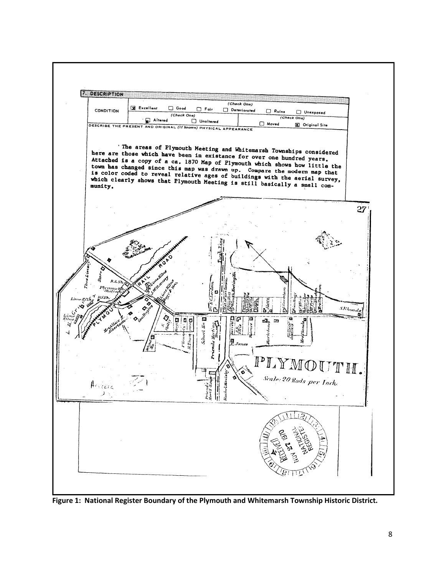

Figure 1: National Register Boundary of the Plymouth and Whitemarsh Township Historic District.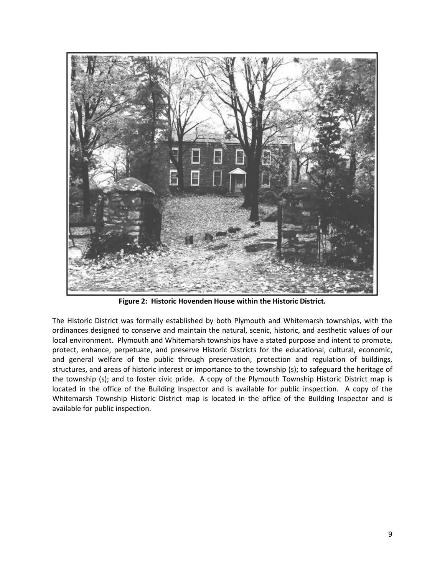

Figure 2: Historic Hovenden House within the Historic District.

The Historic District was formally established by both Plymouth and Whitemarsh townships, with the ordinances designed to conserve and maintain the natural, scenic, historic, and aesthetic values of our local environment. Plymouth and Whitemarsh townships have a stated purpose and intent to promote, protect, enhance, perpetuate, and preserve Historic Districts for the educational, cultural, economic, and general welfare of the public through preservation, protection and regulation of buildings, structures, and areas of historic interest or importance to the township (s); to safeguard the heritage of the township (s); and to foster civic pride. A copy of the Plymouth Township Historic District map is located in the office of the Building Inspector and is available for public inspection. A copy of the Whitemarsh Township Historic District map is located in the office of the Building Inspector and is available for public inspection.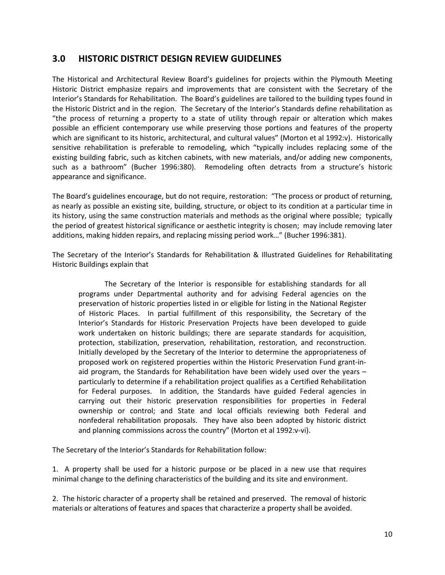# 3.0 HISTORIC DISTRICT DESIGN REVIEW GUIDELINES

The Historical and Architectural Review Board's guidelines for projects within the Plymouth Meeting Historic District emphasize repairs and improvements that are consistent with the Secretary of the Interior's Standards for Rehabilitation. The Board's guidelines are tailored to the building types found in the Historic District and in the region. The Secretary of the Interior's Standards define rehabilitation as "the process of returning a property to a state of utility through repair or alteration which makes possible an efficient contemporary use while preserving those portions and features of the property which are significant to its historic, architectural, and cultural values" (Morton et al 1992:v). Historically sensitive rehabilitation is preferable to remodeling, which "typically includes replacing some of the existing building fabric, such as kitchen cabinets, with new materials, and/or adding new components, such as a bathroom" (Bucher 1996:380). Remodeling often detracts from a structure's historic appearance and significance.

The Board's guidelines encourage, but do not require, restoration: "The process or product of returning, as nearly as possible an existing site, building, structure, or object to its condition at a particular time in its history, using the same construction materials and methods as the original where possible; typically the period of greatest historical significance or aesthetic integrity is chosen; may include removing later additions, making hidden repairs, and replacing missing period work…" (Bucher 1996:381).

The Secretary of the Interior's Standards for Rehabilitation & Illustrated Guidelines for Rehabilitating Historic Buildings explain that

 The Secretary of the Interior is responsible for establishing standards for all programs under Departmental authority and for advising Federal agencies on the preservation of historic properties listed in or eligible for listing in the National Register of Historic Places. In partial fulfillment of this responsibility, the Secretary of the Interior's Standards for Historic Preservation Projects have been developed to guide work undertaken on historic buildings; there are separate standards for acquisition, protection, stabilization, preservation, rehabilitation, restoration, and reconstruction. Initially developed by the Secretary of the Interior to determine the appropriateness of proposed work on registered properties within the Historic Preservation Fund grant-inaid program, the Standards for Rehabilitation have been widely used over the years – particularly to determine if a rehabilitation project qualifies as a Certified Rehabilitation for Federal purposes. In addition, the Standards have guided Federal agencies in carrying out their historic preservation responsibilities for properties in Federal ownership or control; and State and local officials reviewing both Federal and nonfederal rehabilitation proposals. They have also been adopted by historic district and planning commissions across the country" (Morton et al 1992:v-vi).

The Secretary of the Interior's Standards for Rehabilitation follow:

1. A property shall be used for a historic purpose or be placed in a new use that requires minimal change to the defining characteristics of the building and its site and environment.

2. The historic character of a property shall be retained and preserved. The removal of historic materials or alterations of features and spaces that characterize a property shall be avoided.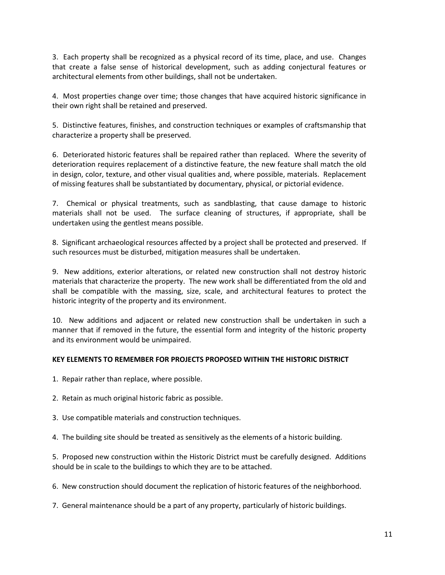3. Each property shall be recognized as a physical record of its time, place, and use. Changes that create a false sense of historical development, such as adding conjectural features or architectural elements from other buildings, shall not be undertaken.

4. Most properties change over time; those changes that have acquired historic significance in their own right shall be retained and preserved.

5. Distinctive features, finishes, and construction techniques or examples of craftsmanship that characterize a property shall be preserved.

6. Deteriorated historic features shall be repaired rather than replaced. Where the severity of deterioration requires replacement of a distinctive feature, the new feature shall match the old in design, color, texture, and other visual qualities and, where possible, materials. Replacement of missing features shall be substantiated by documentary, physical, or pictorial evidence.

7. Chemical or physical treatments, such as sandblasting, that cause damage to historic materials shall not be used. The surface cleaning of structures, if appropriate, shall be undertaken using the gentlest means possible.

8. Significant archaeological resources affected by a project shall be protected and preserved. If such resources must be disturbed, mitigation measures shall be undertaken.

9. New additions, exterior alterations, or related new construction shall not destroy historic materials that characterize the property. The new work shall be differentiated from the old and shall be compatible with the massing, size, scale, and architectural features to protect the historic integrity of the property and its environment.

10. New additions and adjacent or related new construction shall be undertaken in such a manner that if removed in the future, the essential form and integrity of the historic property and its environment would be unimpaired.

# KEY ELEMENTS TO REMEMBER FOR PROJECTS PROPOSED WITHIN THE HISTORIC DISTRICT

- 1. Repair rather than replace, where possible.
- 2. Retain as much original historic fabric as possible.
- 3. Use compatible materials and construction techniques.
- 4. The building site should be treated as sensitively as the elements of a historic building.

5. Proposed new construction within the Historic District must be carefully designed. Additions should be in scale to the buildings to which they are to be attached.

- 6. New construction should document the replication of historic features of the neighborhood.
- 7. General maintenance should be a part of any property, particularly of historic buildings.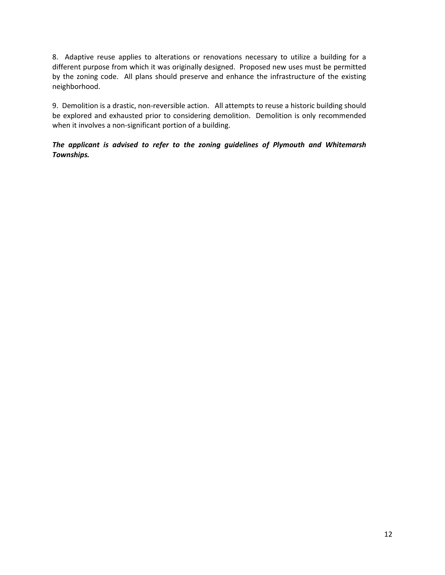8. Adaptive reuse applies to alterations or renovations necessary to utilize a building for a different purpose from which it was originally designed. Proposed new uses must be permitted by the zoning code. All plans should preserve and enhance the infrastructure of the existing neighborhood.

9. Demolition is a drastic, non-reversible action. All attempts to reuse a historic building should be explored and exhausted prior to considering demolition. Demolition is only recommended when it involves a non-significant portion of a building.

# The applicant is advised to refer to the zoning guidelines of Plymouth and Whitemarsh Townships.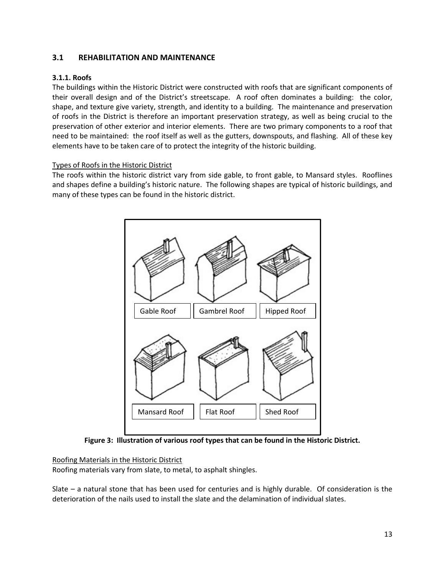# 3.1 REHABILITATION AND MAINTENANCE

# 3.1.1. Roofs

The buildings within the Historic District were constructed with roofs that are significant components of their overall design and of the District's streetscape. A roof often dominates a building: the color, shape, and texture give variety, strength, and identity to a building. The maintenance and preservation of roofs in the District is therefore an important preservation strategy, as well as being crucial to the preservation of other exterior and interior elements. There are two primary components to a roof that need to be maintained: the roof itself as well as the gutters, downspouts, and flashing. All of these key elements have to be taken care of to protect the integrity of the historic building.

# Types of Roofs in the Historic District

The roofs within the historic district vary from side gable, to front gable, to Mansard styles. Rooflines and shapes define a building's historic nature. The following shapes are typical of historic buildings, and many of these types can be found in the historic district.



Figure 3: Illustration of various roof types that can be found in the Historic District.

Roofing Materials in the Historic District

Roofing materials vary from slate, to metal, to asphalt shingles.

Slate – a natural stone that has been used for centuries and is highly durable. Of consideration is the deterioration of the nails used to install the slate and the delamination of individual slates.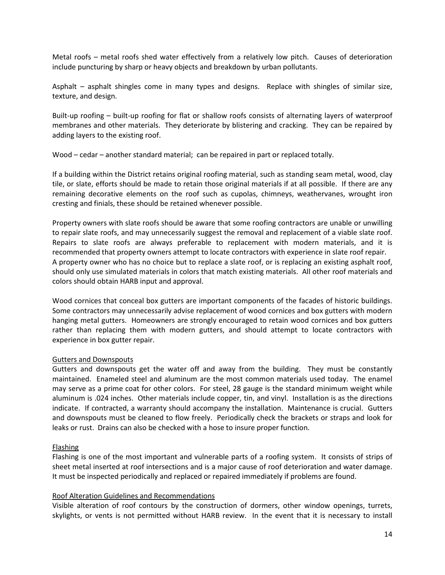Metal roofs – metal roofs shed water effectively from a relatively low pitch. Causes of deterioration include puncturing by sharp or heavy objects and breakdown by urban pollutants.

Asphalt – asphalt shingles come in many types and designs. Replace with shingles of similar size, texture, and design.

Built-up roofing – built-up roofing for flat or shallow roofs consists of alternating layers of waterproof membranes and other materials. They deteriorate by blistering and cracking. They can be repaired by adding layers to the existing roof.

Wood – cedar – another standard material; can be repaired in part or replaced totally.

If a building within the District retains original roofing material, such as standing seam metal, wood, clay tile, or slate, efforts should be made to retain those original materials if at all possible. If there are any remaining decorative elements on the roof such as cupolas, chimneys, weathervanes, wrought iron cresting and finials, these should be retained whenever possible.

Property owners with slate roofs should be aware that some roofing contractors are unable or unwilling to repair slate roofs, and may unnecessarily suggest the removal and replacement of a viable slate roof. Repairs to slate roofs are always preferable to replacement with modern materials, and it is recommended that property owners attempt to locate contractors with experience in slate roof repair. A property owner who has no choice but to replace a slate roof, or is replacing an existing asphalt roof, should only use simulated materials in colors that match existing materials. All other roof materials and colors should obtain HARB input and approval.

Wood cornices that conceal box gutters are important components of the facades of historic buildings. Some contractors may unnecessarily advise replacement of wood cornices and box gutters with modern hanging metal gutters. Homeowners are strongly encouraged to retain wood cornices and box gutters rather than replacing them with modern gutters, and should attempt to locate contractors with experience in box gutter repair.

# Gutters and Downspouts

Gutters and downspouts get the water off and away from the building. They must be constantly maintained. Enameled steel and aluminum are the most common materials used today. The enamel may serve as a prime coat for other colors. For steel, 28 gauge is the standard minimum weight while aluminum is .024 inches. Other materials include copper, tin, and vinyl. Installation is as the directions indicate. If contracted, a warranty should accompany the installation. Maintenance is crucial. Gutters and downspouts must be cleaned to flow freely. Periodically check the brackets or straps and look for leaks or rust. Drains can also be checked with a hose to insure proper function.

# **Flashing**

Flashing is one of the most important and vulnerable parts of a roofing system. It consists of strips of sheet metal inserted at roof intersections and is a major cause of roof deterioration and water damage. It must be inspected periodically and replaced or repaired immediately if problems are found.

#### Roof Alteration Guidelines and Recommendations

Visible alteration of roof contours by the construction of dormers, other window openings, turrets, skylights, or vents is not permitted without HARB review. In the event that it is necessary to install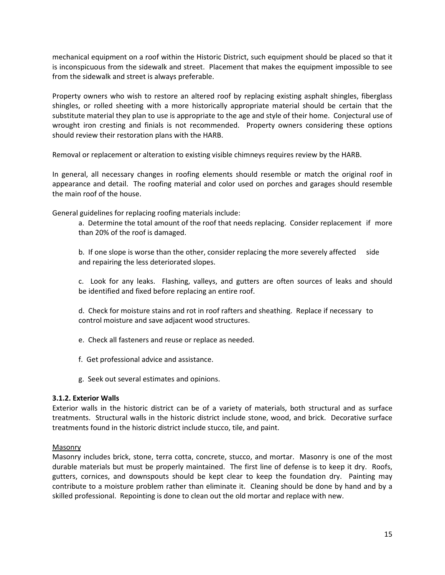mechanical equipment on a roof within the Historic District, such equipment should be placed so that it is inconspicuous from the sidewalk and street. Placement that makes the equipment impossible to see from the sidewalk and street is always preferable.

Property owners who wish to restore an altered roof by replacing existing asphalt shingles, fiberglass shingles, or rolled sheeting with a more historically appropriate material should be certain that the substitute material they plan to use is appropriate to the age and style of their home. Conjectural use of wrought iron cresting and finials is not recommended. Property owners considering these options should review their restoration plans with the HARB.

Removal or replacement or alteration to existing visible chimneys requires review by the HARB.

In general, all necessary changes in roofing elements should resemble or match the original roof in appearance and detail. The roofing material and color used on porches and garages should resemble the main roof of the house.

General guidelines for replacing roofing materials include:

a. Determine the total amount of the roof that needs replacing. Consider replacement if more than 20% of the roof is damaged.

b. If one slope is worse than the other, consider replacing the more severely affected side and repairing the less deteriorated slopes.

c. Look for any leaks. Flashing, valleys, and gutters are often sources of leaks and should be identified and fixed before replacing an entire roof.

d. Check for moisture stains and rot in roof rafters and sheathing. Replace if necessary to control moisture and save adjacent wood structures.

- e. Check all fasteners and reuse or replace as needed.
- f. Get professional advice and assistance.
- g. Seek out several estimates and opinions.

# 3.1.2. Exterior Walls

Exterior walls in the historic district can be of a variety of materials, both structural and as surface treatments. Structural walls in the historic district include stone, wood, and brick. Decorative surface treatments found in the historic district include stucco, tile, and paint.

# **Masonry**

Masonry includes brick, stone, terra cotta, concrete, stucco, and mortar. Masonry is one of the most durable materials but must be properly maintained. The first line of defense is to keep it dry. Roofs, gutters, cornices, and downspouts should be kept clear to keep the foundation dry. Painting may contribute to a moisture problem rather than eliminate it. Cleaning should be done by hand and by a skilled professional. Repointing is done to clean out the old mortar and replace with new.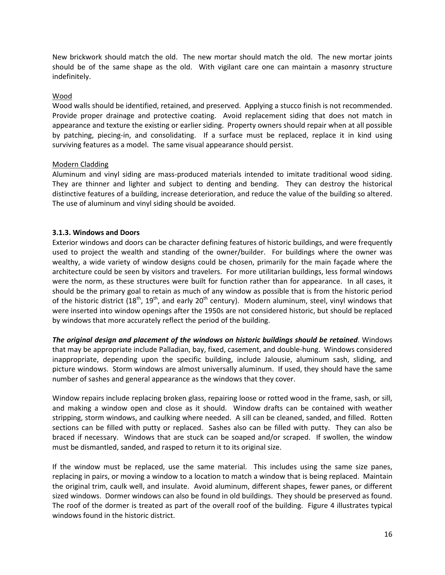New brickwork should match the old. The new mortar should match the old. The new mortar joints should be of the same shape as the old. With vigilant care one can maintain a masonry structure indefinitely.

# Wood

Wood walls should be identified, retained, and preserved. Applying a stucco finish is not recommended. Provide proper drainage and protective coating. Avoid replacement siding that does not match in appearance and texture the existing or earlier siding. Property owners should repair when at all possible by patching, piecing-in, and consolidating. If a surface must be replaced, replace it in kind using surviving features as a model. The same visual appearance should persist.

# Modern Cladding

Aluminum and vinyl siding are mass-produced materials intended to imitate traditional wood siding. They are thinner and lighter and subject to denting and bending. They can destroy the historical distinctive features of a building, increase deterioration, and reduce the value of the building so altered. The use of aluminum and vinyl siding should be avoided.

# 3.1.3. Windows and Doors

Exterior windows and doors can be character defining features of historic buildings, and were frequently used to project the wealth and standing of the owner/builder. For buildings where the owner was wealthy, a wide variety of window designs could be chosen, primarily for the main façade where the architecture could be seen by visitors and travelers. For more utilitarian buildings, less formal windows were the norm, as these structures were built for function rather than for appearance. In all cases, it should be the primary goal to retain as much of any window as possible that is from the historic period of the historic district (18<sup>th</sup>, 19<sup>th</sup>, and early 20<sup>th</sup> century). Modern aluminum, steel, vinyl windows that were inserted into window openings after the 1950s are not considered historic, but should be replaced by windows that more accurately reflect the period of the building.

The original design and placement of the windows on historic buildings should be retained. Windows that may be appropriate include Palladian, bay, fixed, casement, and double-hung. Windows considered inappropriate, depending upon the specific building, include Jalousie, aluminum sash, sliding, and picture windows. Storm windows are almost universally aluminum. If used, they should have the same number of sashes and general appearance as the windows that they cover.

Window repairs include replacing broken glass, repairing loose or rotted wood in the frame, sash, or sill, and making a window open and close as it should. Window drafts can be contained with weather stripping, storm windows, and caulking where needed. A sill can be cleaned, sanded, and filled. Rotten sections can be filled with putty or replaced. Sashes also can be filled with putty. They can also be braced if necessary. Windows that are stuck can be soaped and/or scraped. If swollen, the window must be dismantled, sanded, and rasped to return it to its original size.

If the window must be replaced, use the same material. This includes using the same size panes, replacing in pairs, or moving a window to a location to match a window that is being replaced. Maintain the original trim, caulk well, and insulate. Avoid aluminum, different shapes, fewer panes, or different sized windows. Dormer windows can also be found in old buildings. They should be preserved as found. The roof of the dormer is treated as part of the overall roof of the building. Figure 4 illustrates typical windows found in the historic district.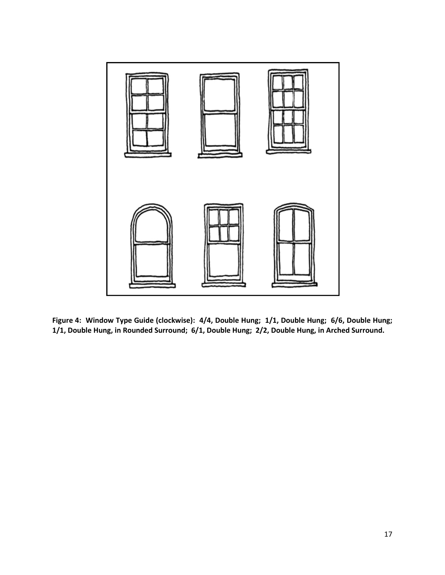

Figure 4: Window Type Guide (clockwise): 4/4, Double Hung; 1/1, Double Hung; 6/6, Double Hung; 1/1, Double Hung, in Rounded Surround; 6/1, Double Hung; 2/2, Double Hung, in Arched Surround.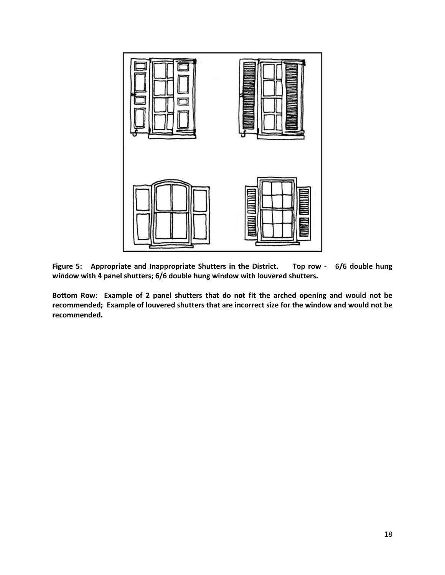

Figure 5: Appropriate and Inappropriate Shutters in the District. Top row - 6/6 double hung window with 4 panel shutters; 6/6 double hung window with louvered shutters.

Bottom Row: Example of 2 panel shutters that do not fit the arched opening and would not be recommended; Example of louvered shutters that are incorrect size for the window and would not be recommended.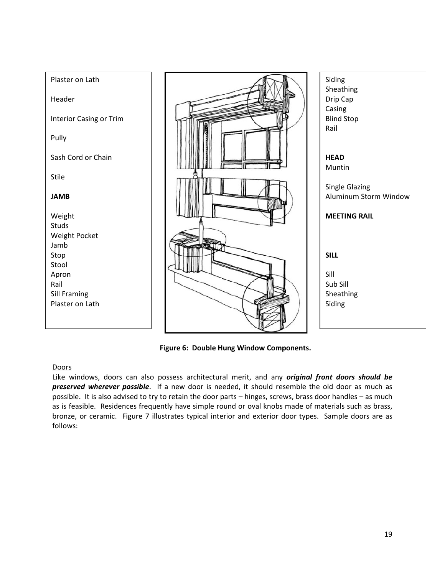



Siding **Sheathing** Drip Cap Casing Blind Stop Rail

**HEAD** Muntin

Single Glazing Aluminum Storm Window

MEETING RAIL

SILL

Sill Sub Sill Sheathing Siding

Figure 6: Double Hung Window Components.

# Doors

Like windows, doors can also possess architectural merit, and any original front doors should be preserved wherever possible. If a new door is needed, it should resemble the old door as much as possible. It is also advised to try to retain the door parts – hinges, screws, brass door handles – as much as is feasible. Residences frequently have simple round or oval knobs made of materials such as brass, bronze, or ceramic. Figure 7 illustrates typical interior and exterior door types. Sample doors are as follows: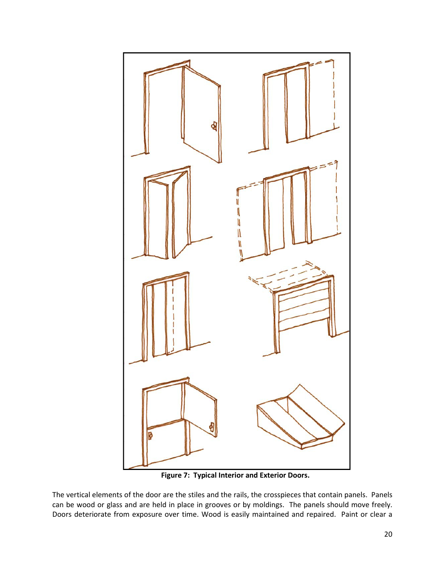

Figure 7: Typical Interior and Exterior Doors.

The vertical elements of the door are the stiles and the rails, the crosspieces that contain panels. Panels can be wood or glass and are held in place in grooves or by moldings. The panels should move freely. Doors deteriorate from exposure over time. Wood is easily maintained and repaired. Paint or clear a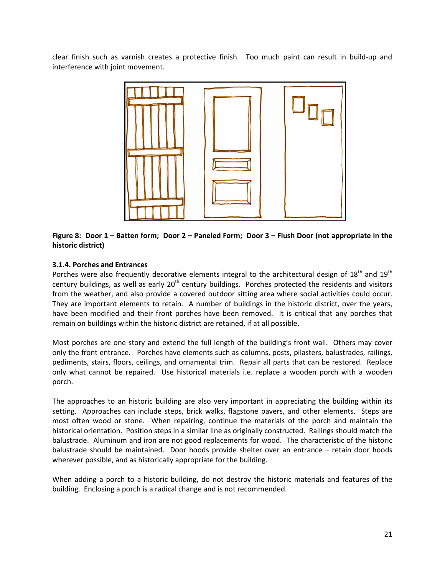clear finish such as varnish creates a protective finish. Too much paint can result in build-up and interference with joint movement.



# Figure 8: Door 1 – Batten form; Door 2 – Paneled Form; Door 3 – Flush Door (not appropriate in the historic district)

# 3.1.4. Porches and Entrances

Porches were also frequently decorative elements integral to the architectural design of 18<sup>th</sup> and 19<sup>th</sup> century buildings, as well as early  $20<sup>th</sup>$  century buildings. Porches protected the residents and visitors from the weather, and also provide a covered outdoor sitting area where social activities could occur. They are important elements to retain. A number of buildings in the historic district, over the years, have been modified and their front porches have been removed. It is critical that any porches that remain on buildings within the historic district are retained, if at all possible.

Most porches are one story and extend the full length of the building's front wall. Others may cover only the front entrance. Porches have elements such as columns, posts, pilasters, balustrades, railings, pediments, stairs, floors, ceilings, and ornamental trim. Repair all parts that can be restored. Replace only what cannot be repaired. Use historical materials i.e. replace a wooden porch with a wooden porch.

The approaches to an historic building are also very important in appreciating the building within its setting. Approaches can include steps, brick walks, flagstone pavers, and other elements. Steps are most often wood or stone. When repairing, continue the materials of the porch and maintain the historical orientation. Position steps in a similar line as originally constructed. Railings should match the balustrade. Aluminum and iron are not good replacements for wood. The characteristic of the historic balustrade should be maintained. Door hoods provide shelter over an entrance – retain door hoods wherever possible, and as historically appropriate for the building.

When adding a porch to a historic building, do not destroy the historic materials and features of the building. Enclosing a porch is a radical change and is not recommended.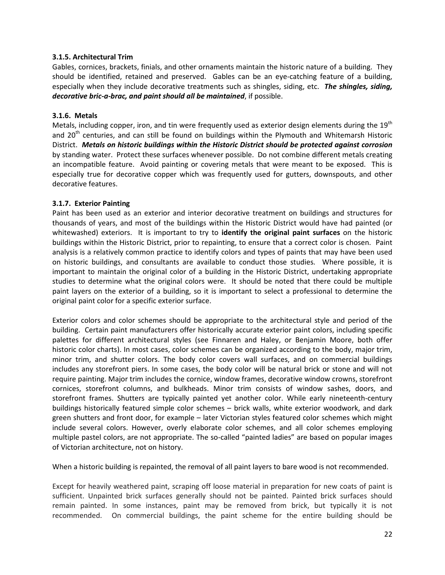# 3.1.5. Architectural Trim

Gables, cornices, brackets, finials, and other ornaments maintain the historic nature of a building. They should be identified, retained and preserved. Gables can be an eye-catching feature of a building, especially when they include decorative treatments such as shingles, siding, etc. The shingles, siding, decorative bric-a-brac, and paint should all be maintained, if possible.

# 3.1.6. Metals

Metals, including copper, iron, and tin were frequently used as exterior design elements during the 19<sup>th</sup> and  $20<sup>th</sup>$  centuries, and can still be found on buildings within the Plymouth and Whitemarsh Historic District. Metals on historic buildings within the Historic District should be protected against corrosion by standing water. Protect these surfaces whenever possible. Do not combine different metals creating an incompatible feature. Avoid painting or covering metals that were meant to be exposed. This is especially true for decorative copper which was frequently used for gutters, downspouts, and other decorative features.

# 3.1.7. Exterior Painting

Paint has been used as an exterior and interior decorative treatment on buildings and structures for thousands of years, and most of the buildings within the Historic District would have had painted (or whitewashed) exteriors. It is important to try to identify the original paint surfaces on the historic buildings within the Historic District, prior to repainting, to ensure that a correct color is chosen. Paint analysis is a relatively common practice to identify colors and types of paints that may have been used on historic buildings, and consultants are available to conduct those studies. Where possible, it is important to maintain the original color of a building in the Historic District, undertaking appropriate studies to determine what the original colors were. It should be noted that there could be multiple paint layers on the exterior of a building, so it is important to select a professional to determine the original paint color for a specific exterior surface.

Exterior colors and color schemes should be appropriate to the architectural style and period of the building. Certain paint manufacturers offer historically accurate exterior paint colors, including specific palettes for different architectural styles (see Finnaren and Haley, or Benjamin Moore, both offer historic color charts). In most cases, color schemes can be organized according to the body, major trim, minor trim, and shutter colors. The body color covers wall surfaces, and on commercial buildings includes any storefront piers. In some cases, the body color will be natural brick or stone and will not require painting. Major trim includes the cornice, window frames, decorative window crowns, storefront cornices, storefront columns, and bulkheads. Minor trim consists of window sashes, doors, and storefront frames. Shutters are typically painted yet another color. While early nineteenth-century buildings historically featured simple color schemes – brick walls, white exterior woodwork, and dark green shutters and front door, for example – later Victorian styles featured color schemes which might include several colors. However, overly elaborate color schemes, and all color schemes employing multiple pastel colors, are not appropriate. The so-called "painted ladies" are based on popular images of Victorian architecture, not on history.

When a historic building is repainted, the removal of all paint layers to bare wood is not recommended.

Except for heavily weathered paint, scraping off loose material in preparation for new coats of paint is sufficient. Unpainted brick surfaces generally should not be painted. Painted brick surfaces should remain painted. In some instances, paint may be removed from brick, but typically it is not recommended. On commercial buildings, the paint scheme for the entire building should be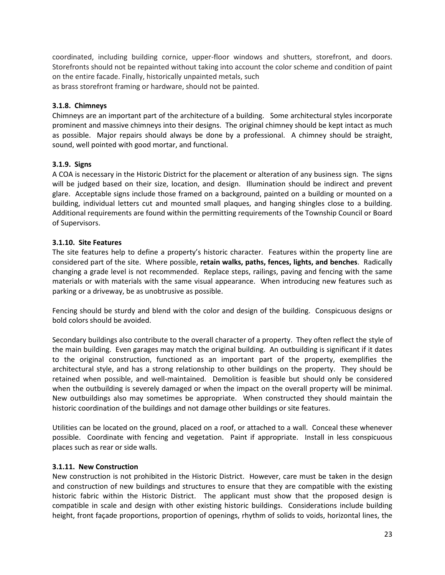coordinated, including building cornice, upper-floor windows and shutters, storefront, and doors. Storefronts should not be repainted without taking into account the color scheme and condition of paint on the entire facade. Finally, historically unpainted metals, such as brass storefront framing or hardware, should not be painted.

# 3.1.8. Chimneys

Chimneys are an important part of the architecture of a building. Some architectural styles incorporate prominent and massive chimneys into their designs. The original chimney should be kept intact as much as possible. Major repairs should always be done by a professional. A chimney should be straight, sound, well pointed with good mortar, and functional.

# 3.1.9. Signs

A COA is necessary in the Historic District for the placement or alteration of any business sign. The signs will be judged based on their size, location, and design. Illumination should be indirect and prevent glare. Acceptable signs include those framed on a background, painted on a building or mounted on a building, individual letters cut and mounted small plaques, and hanging shingles close to a building. Additional requirements are found within the permitting requirements of the Township Council or Board of Supervisors.

# 3.1.10. Site Features

The site features help to define a property's historic character. Features within the property line are considered part of the site. Where possible, retain walks, paths, fences, lights, and benches. Radically changing a grade level is not recommended. Replace steps, railings, paving and fencing with the same materials or with materials with the same visual appearance. When introducing new features such as parking or a driveway, be as unobtrusive as possible.

Fencing should be sturdy and blend with the color and design of the building. Conspicuous designs or bold colors should be avoided.

Secondary buildings also contribute to the overall character of a property. They often reflect the style of the main building. Even garages may match the original building. An outbuilding is significant if it dates to the original construction, functioned as an important part of the property, exemplifies the architectural style, and has a strong relationship to other buildings on the property. They should be retained when possible, and well-maintained. Demolition is feasible but should only be considered when the outbuilding is severely damaged or when the impact on the overall property will be minimal. New outbuildings also may sometimes be appropriate. When constructed they should maintain the historic coordination of the buildings and not damage other buildings or site features.

Utilities can be located on the ground, placed on a roof, or attached to a wall. Conceal these whenever possible. Coordinate with fencing and vegetation. Paint if appropriate. Install in less conspicuous places such as rear or side walls.

# 3.1.11. New Construction

New construction is not prohibited in the Historic District. However, care must be taken in the design and construction of new buildings and structures to ensure that they are compatible with the existing historic fabric within the Historic District. The applicant must show that the proposed design is compatible in scale and design with other existing historic buildings. Considerations include building height, front façade proportions, proportion of openings, rhythm of solids to voids, horizontal lines, the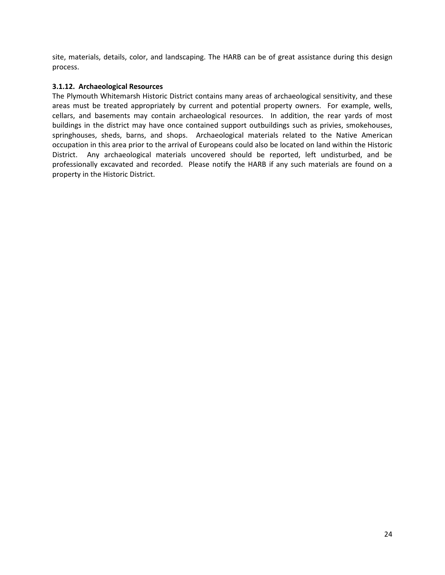site, materials, details, color, and landscaping. The HARB can be of great assistance during this design process.

### 3.1.12. Archaeological Resources

The Plymouth Whitemarsh Historic District contains many areas of archaeological sensitivity, and these areas must be treated appropriately by current and potential property owners. For example, wells, cellars, and basements may contain archaeological resources. In addition, the rear yards of most buildings in the district may have once contained support outbuildings such as privies, smokehouses, springhouses, sheds, barns, and shops. Archaeological materials related to the Native American occupation in this area prior to the arrival of Europeans could also be located on land within the Historic District. Any archaeological materials uncovered should be reported, left undisturbed, and be professionally excavated and recorded. Please notify the HARB if any such materials are found on a property in the Historic District.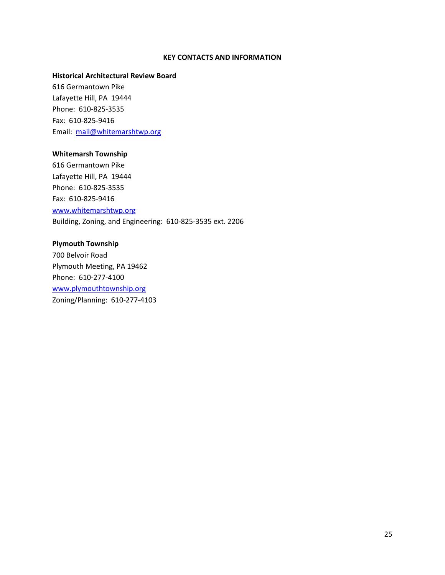#### KEY CONTACTS AND INFORMATION

#### Historical Architectural Review Board

616 Germantown Pike Lafayette Hill, PA 19444 Phone: 610-825-3535 Fax: 610-825-9416 Email: mail@whitemarshtwp.org

#### Whitemarsh Township

616 Germantown Pike Lafayette Hill, PA 19444 Phone: 610-825-3535 Fax: 610-825-9416 www.whitemarshtwp.org Building, Zoning, and Engineering: 610-825-3535 ext. 2206

# Plymouth Township

700 Belvoir Road Plymouth Meeting, PA 19462 Phone: 610-277-4100 www.plymouthtownship.org Zoning/Planning: 610-277-4103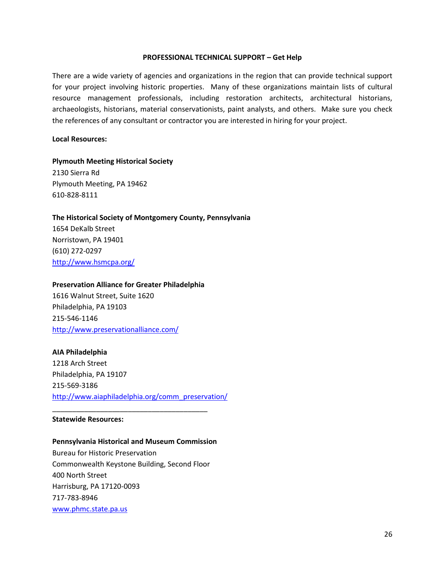#### PROFESSIONAL TECHNICAL SUPPORT – Get Help

There are a wide variety of agencies and organizations in the region that can provide technical support for your project involving historic properties. Many of these organizations maintain lists of cultural resource management professionals, including restoration architects, architectural historians, archaeologists, historians, material conservationists, paint analysts, and others. Make sure you check the references of any consultant or contractor you are interested in hiring for your project.

#### Local Resources:

# Plymouth Meeting Historical Society

2130 Sierra Rd Plymouth Meeting, PA 19462 610-828-8111

#### The Historical Society of Montgomery County, Pennsylvania

1654 DeKalb Street Norristown, PA 19401 (610) 272-0297 http://www.hsmcpa.org/

#### Preservation Alliance for Greater Philadelphia

1616 Walnut Street, Suite 1620 Philadelphia, PA 19103 215-546-1146 http://www.preservationalliance.com/

# AIA Philadelphia

1218 Arch Street Philadelphia, PA 19107 215-569-3186 http://www.aiaphiladelphia.org/comm\_preservation/

#### Statewide Resources:

#### Pennsylvania Historical and Museum Commission

\_\_\_\_\_\_\_\_\_\_\_\_\_\_\_\_\_\_\_\_\_\_\_\_\_\_\_\_\_\_\_\_\_\_\_\_\_\_\_

Bureau for Historic Preservation Commonwealth Keystone Building, Second Floor 400 North Street Harrisburg, PA 17120-0093 717-783-8946 www.phmc.state.pa.us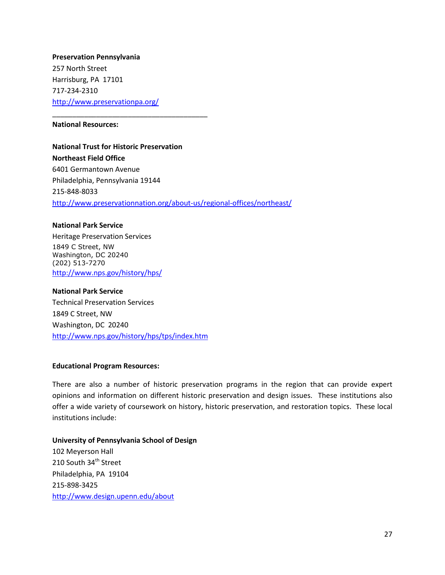Preservation Pennsylvania 257 North Street Harrisburg, PA 17101 717-234-2310 http://www.preservationpa.org/

\_\_\_\_\_\_\_\_\_\_\_\_\_\_\_\_\_\_\_\_\_\_\_\_\_\_\_\_\_\_\_\_\_\_\_\_\_\_\_

#### National Resources:

National Trust for Historic Preservation Northeast Field Office 6401 Germantown Avenue Philadelphia, Pennsylvania 19144 215-848-8033 http://www.preservationnation.org/about-us/regional-offices/northeast/

### National Park Service

Heritage Preservation Services 1849 C Street, NW Washington, DC 20240 (202) 513-7270 http://www.nps.gov/history/hps/

#### National Park Service

Technical Preservation Services 1849 C Street, NW Washington, DC 20240 http://www.nps.gov/history/hps/tps/index.htm

#### Educational Program Resources:

There are also a number of historic preservation programs in the region that can provide expert opinions and information on different historic preservation and design issues. These institutions also offer a wide variety of coursework on history, historic preservation, and restoration topics. These local institutions include:

# University of Pennsylvania School of Design

102 Meyerson Hall 210 South 34<sup>th</sup> Street Philadelphia, PA 19104 215-898-3425 http://www.design.upenn.edu/about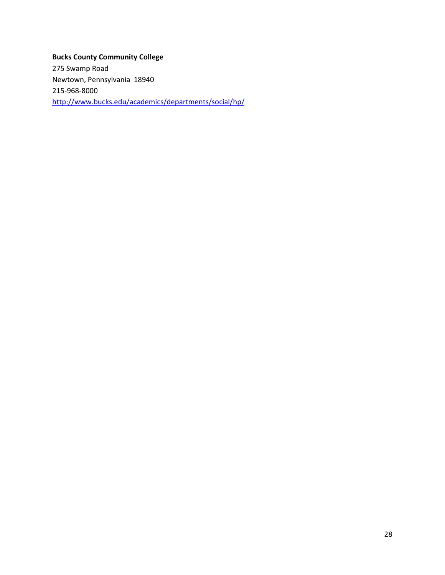Bucks County Community College 275 Swamp Road Newtown, Pennsylvania 18940 215-968-8000 http://www.bucks.edu/academics/departments/social/hp/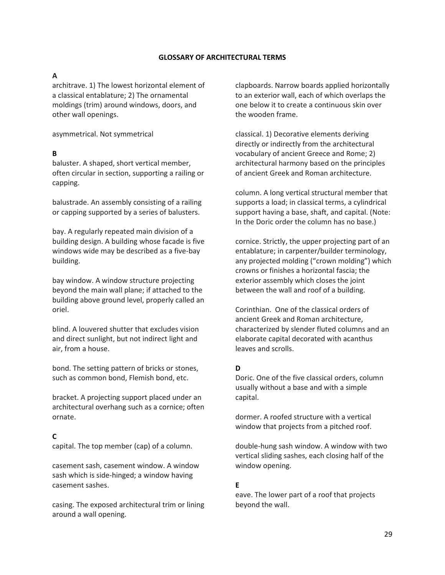#### GLOSSARY OF ARCHITECTURAL TERMS

# A

architrave. 1) The lowest horizontal element of a classical entablature; 2) The ornamental moldings (trim) around windows, doors, and other wall openings.

asymmetrical. Not symmetrical

# B

baluster. A shaped, short vertical member, often circular in section, supporting a railing or capping.

balustrade. An assembly consisting of a railing or capping supported by a series of balusters.

bay. A regularly repeated main division of a building design. A building whose facade is five windows wide may be described as a five-bay building.

bay window. A window structure projecting beyond the main wall plane; if attached to the building above ground level, properly called an oriel.

blind. A louvered shutter that excludes vision and direct sunlight, but not indirect light and air, from a house.

bond. The setting pattern of bricks or stones, such as common bond, Flemish bond, etc.

bracket. A projecting support placed under an architectural overhang such as a cornice; often ornate.

# C

capital. The top member (cap) of a column.

casement sash, casement window. A window sash which is side-hinged; a window having casement sashes.

casing. The exposed architectural trim or lining around a wall opening.

clapboards. Narrow boards applied horizontally to an exterior wall, each of which overlaps the one below it to create a continuous skin over the wooden frame.

classical. 1) Decorative elements deriving directly or indirectly from the architectural vocabulary of ancient Greece and Rome; 2) architectural harmony based on the principles of ancient Greek and Roman architecture.

column. A long vertical structural member that supports a load; in classical terms, a cylindrical support having a base, shaft, and capital. (Note: In the Doric order the column has no base.)

cornice. Strictly, the upper projecting part of an entablature; in carpenter/builder terminology, any projected molding ("crown molding") which crowns or finishes a horizontal fascia; the exterior assembly which closes the joint between the wall and roof of a building.

Corinthian. One of the classical orders of ancient Greek and Roman architecture, characterized by slender fluted columns and an elaborate capital decorated with acanthus leaves and scrolls.

# D

Doric. One of the five classical orders, column usually without a base and with a simple capital.

dormer. A roofed structure with a vertical window that projects from a pitched roof.

double-hung sash window. A window with two vertical sliding sashes, each closing half of the window opening.

# E

eave. The lower part of a roof that projects beyond the wall.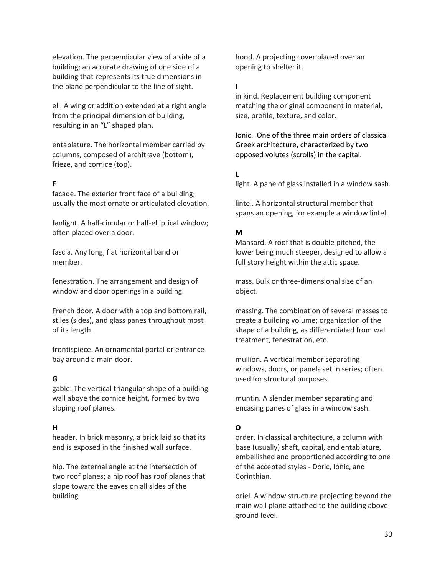elevation. The perpendicular view of a side of a building; an accurate drawing of one side of a building that represents its true dimensions in the plane perpendicular to the line of sight.

ell. A wing or addition extended at a right angle from the principal dimension of building, resulting in an "L" shaped plan.

entablature. The horizontal member carried by columns, composed of architrave (bottom), frieze, and cornice (top).

# F

facade. The exterior front face of a building; usually the most ornate or articulated elevation.

fanlight. A half-circular or half-elliptical window; often placed over a door.

fascia. Any long, flat horizontal band or member.

fenestration. The arrangement and design of window and door openings in a building.

French door. A door with a top and bottom rail, stiles (sides), and glass panes throughout most of its length.

frontispiece. An ornamental portal or entrance bay around a main door.

# G

gable. The vertical triangular shape of a building wall above the cornice height, formed by two sloping roof planes.

#### H

header. In brick masonry, a brick laid so that its end is exposed in the finished wall surface.

hip. The external angle at the intersection of two roof planes; a hip roof has roof planes that slope toward the eaves on all sides of the building.

hood. A projecting cover placed over an opening to shelter it.

#### I

in kind. Replacement building component matching the original component in material, size, profile, texture, and color.

Ionic. One of the three main orders of classical Greek architecture, characterized by two opposed volutes (scrolls) in the capital.

# L

light. A pane of glass installed in a window sash.

lintel. A horizontal structural member that spans an opening, for example a window lintel.

#### M

Mansard. A roof that is double pitched, the lower being much steeper, designed to allow a full story height within the attic space.

mass. Bulk or three-dimensional size of an object.

massing. The combination of several masses to create a building volume; organization of the shape of a building, as differentiated from wall treatment, fenestration, etc.

mullion. A vertical member separating windows, doors, or panels set in series; often used for structural purposes.

muntin. A slender member separating and encasing panes of glass in a window sash.

# O

order. In classical architecture, a column with base (usually) shaft, capital, and entablature, embellished and proportioned according to one of the accepted styles - Doric, Ionic, and Corinthian.

oriel. A window structure projecting beyond the main wall plane attached to the building above ground level.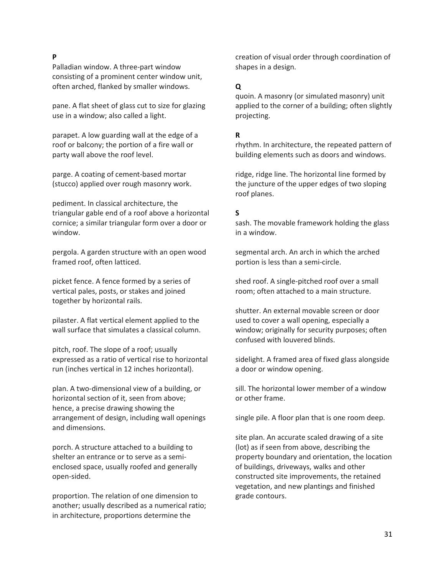# P

Palladian window. A three-part window consisting of a prominent center window unit, often arched, flanked by smaller windows.

pane. A flat sheet of glass cut to size for glazing use in a window; also called a light.

parapet. A low guarding wall at the edge of a roof or balcony; the portion of a fire wall or party wall above the roof level.

parge. A coating of cement-based mortar (stucco) applied over rough masonry work.

pediment. In classical architecture, the triangular gable end of a roof above a horizontal cornice; a similar triangular form over a door or window.

pergola. A garden structure with an open wood framed roof, often latticed.

picket fence. A fence formed by a series of vertical pales, posts, or stakes and joined together by horizontal rails.

pilaster. A flat vertical element applied to the wall surface that simulates a classical column.

pitch, roof. The slope of a roof; usually expressed as a ratio of vertical rise to horizontal run (inches vertical in 12 inches horizontal).

plan. A two-dimensional view of a building, or horizontal section of it, seen from above; hence, a precise drawing showing the arrangement of design, including wall openings and dimensions.

porch. A structure attached to a building to shelter an entrance or to serve as a semienclosed space, usually roofed and generally open-sided.

proportion. The relation of one dimension to another; usually described as a numerical ratio; in architecture, proportions determine the

creation of visual order through coordination of shapes in a design.

# Q

quoin. A masonry (or simulated masonry) unit applied to the corner of a building; often slightly projecting.

# R

rhythm. In architecture, the repeated pattern of building elements such as doors and windows.

ridge, ridge line. The horizontal line formed by the juncture of the upper edges of two sloping roof planes.

# S

sash. The movable framework holding the glass in a window.

segmental arch. An arch in which the arched portion is less than a semi-circle.

shed roof. A single-pitched roof over a small room; often attached to a main structure.

shutter. An external movable screen or door used to cover a wall opening, especially a window; originally for security purposes; often confused with louvered blinds.

sidelight. A framed area of fixed glass alongside a door or window opening.

sill. The horizontal lower member of a window or other frame.

single pile. A floor plan that is one room deep.

site plan. An accurate scaled drawing of a site (lot) as if seen from above, describing the property boundary and orientation, the location of buildings, driveways, walks and other constructed site improvements, the retained vegetation, and new plantings and finished grade contours.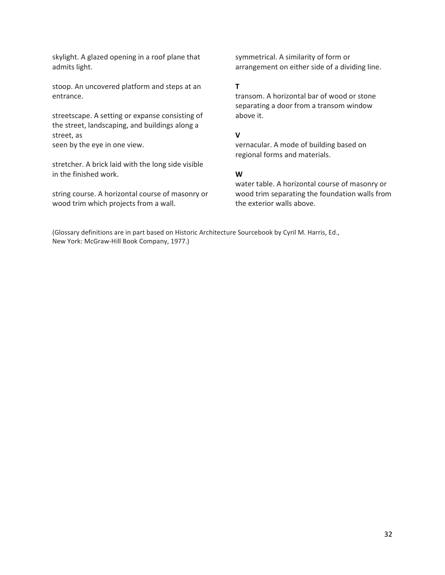skylight. A glazed opening in a roof plane that admits light.

stoop. An uncovered platform and steps at an entrance.

streetscape. A setting or expanse consisting of the street, landscaping, and buildings along a street, as seen by the eye in one view.

stretcher. A brick laid with the long side visible in the finished work.

string course. A horizontal course of masonry or wood trim which projects from a wall.

symmetrical. A similarity of form or arrangement on either side of a dividing line.

#### T

transom. A horizontal bar of wood or stone separating a door from a transom window above it.

#### $\mathbf{V}$

vernacular. A mode of building based on regional forms and materials.

#### W

water table. A horizontal course of masonry or wood trim separating the foundation walls from the exterior walls above.

(Glossary definitions are in part based on Historic Architecture Sourcebook by Cyril M. Harris, Ed., New York: McGraw-Hill Book Company, 1977.)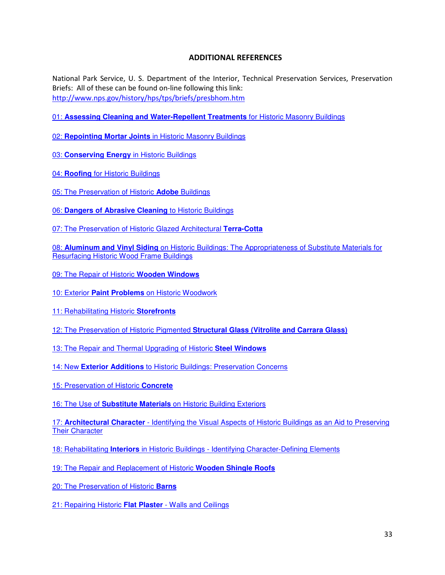# ADDITIONAL REFERENCES

National Park Service, U. S. Department of the Interior, Technical Preservation Services, Preservation Briefs: All of these can be found on-line following this link: http://www.nps.gov/history/hps/tps/briefs/presbhom.htm

01: **Assessing Cleaning and Water-Repellent Treatments** for Historic Masonry Buildings

02: **Repointing Mortar Joints** in Historic Masonry Buildings

03: **Conserving Energy** in Historic Buildings

04: **Roofing** for Historic Buildings

05: The Preservation of Historic **Adobe** Buildings

06: **Dangers of Abrasive Cleaning** to Historic Buildings

07: The Preservation of Historic Glazed Architectural **Terra-Cotta**

08: **Aluminum and Vinyl Siding** on Historic Buildings: The Appropriateness of Substitute Materials for Resurfacing Historic Wood Frame Buildings

09: The Repair of Historic **Wooden Windows**

10: Exterior **Paint Problems** on Historic Woodwork

- 11: Rehabilitating Historic **Storefronts**
- 12: The Preservation of Historic Pigmented **Structural Glass (Vitrolite and Carrara Glass)**

13: The Repair and Thermal Upgrading of Historic **Steel Windows**

14: New **Exterior Additions** to Historic Buildings: Preservation Concerns

15: Preservation of Historic **Concrete**

16: The Use of **Substitute Materials** on Historic Building Exteriors

17: **Architectural Character** - Identifying the Visual Aspects of Historic Buildings as an Aid to Preserving Their Character

18: Rehabilitating **Interiors** in Historic Buildings - Identifying Character-Defining Elements

19: The Repair and Replacement of Historic **Wooden Shingle Roofs**

20: The Preservation of Historic **Barns**

21: Repairing Historic **Flat Plaster** - Walls and Ceilings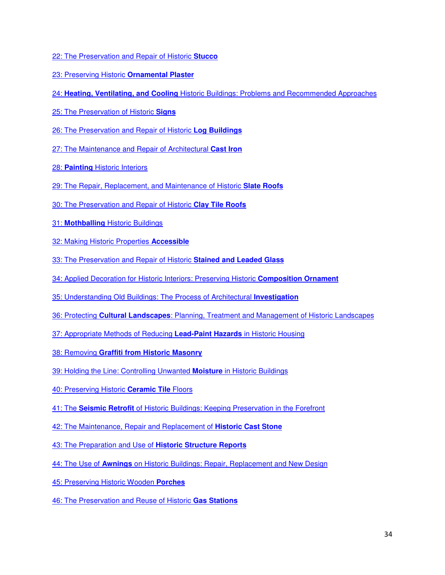- 22: The Preservation and Repair of Historic **Stucco**
- 23: Preserving Historic **Ornamental Plaster**
- 24: **Heating, Ventilating, and Cooling** Historic Buildings: Problems and Recommended Approaches
- 25: The Preservation of Historic **Signs**
- 26: The Preservation and Repair of Historic **Log Buildings**
- 27: The Maintenance and Repair of Architectural **Cast Iron**
- 28: **Painting** Historic Interiors
- 29: The Repair, Replacement, and Maintenance of Historic **Slate Roofs**
- 30: The Preservation and Repair of Historic **Clay Tile Roofs**
- 31: **Mothballing** Historic Buildings
- 32: Making Historic Properties **Accessible**
- 33: The Preservation and Repair of Historic **Stained and Leaded Glass**
- 34: Applied Decoration for Historic Interiors: Preserving Historic **Composition Ornament**
- 35: Understanding Old Buildings: The Process of Architectural **Investigation**
- 36: Protecting **Cultural Landscapes**: Planning, Treatment and Management of Historic Landscapes
- 37: Appropriate Methods of Reducing **Lead-Paint Hazards** in Historic Housing
- 38: Removing **Graffiti from Historic Masonry**
- 39: Holding the Line: Controlling Unwanted **Moisture** in Historic Buildings
- 40: Preserving Historic **Ceramic Tile** Floors
- 41: The **Seismic Retrofit** of Historic Buildings: Keeping Preservation in the Forefront
- 42: The Maintenance, Repair and Replacement of **Historic Cast Stone**
- 43: The Preparation and Use of **Historic Structure Reports**
- 44: The Use of **Awnings** on Historic Buildings: Repair, Replacement and New Design
- 45: Preserving Historic Wooden **Porches**
- 46: The Preservation and Reuse of Historic **Gas Stations**